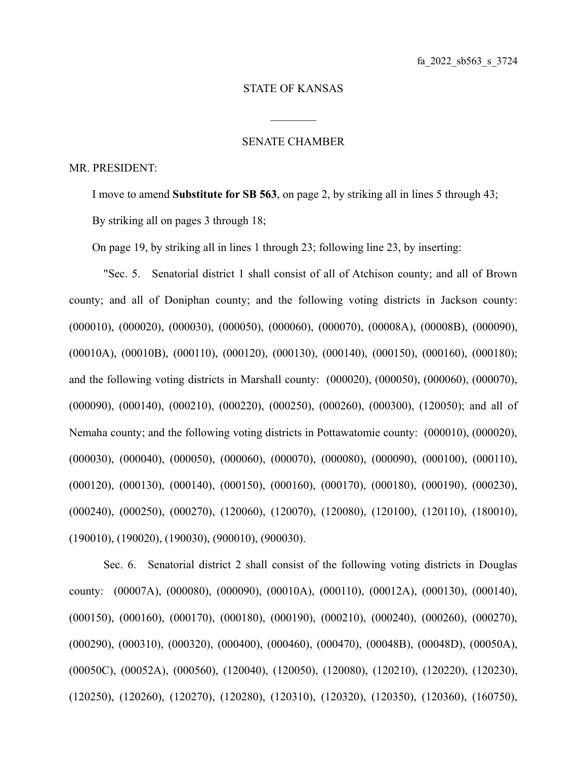## STATE OF KANSAS

 $\mathcal{L}_\text{max}$ 

## SENATE CHAMBER

## MR. PRESIDENT:

I move to amend **Substitute for SB 563**, on page 2, by striking all in lines 5 through 43; By striking all on pages 3 through 18;

On page 19, by striking all in lines 1 through 23; following line 23, by inserting:

"Sec. 5. Senatorial district 1 shall consist of all of Atchison county; and all of Brown county; and all of Doniphan county; and the following voting districts in Jackson county: (000010), (000020), (000030), (000050), (000060), (000070), (00008A), (00008B), (000090), (00010A), (00010B), (000110), (000120), (000130), (000140), (000150), (000160), (000180); and the following voting districts in Marshall county: (000020), (000050), (000060), (000070), (000090), (000140), (000210), (000220), (000250), (000260), (000300), (120050); and all of Nemaha county; and the following voting districts in Pottawatomie county: (000010), (000020), (000030), (000040), (000050), (000060), (000070), (000080), (000090), (000100), (000110), (000120), (000130), (000140), (000150), (000160), (000170), (000180), (000190), (000230), (000240), (000250), (000270), (120060), (120070), (120080), (120100), (120110), (180010), (190010), (190020), (190030), (900010), (900030).

Sec. 6. Senatorial district 2 shall consist of the following voting districts in Douglas county: (00007A), (000080), (000090), (00010A), (000110), (00012A), (000130), (000140), (000150), (000160), (000170), (000180), (000190), (000210), (000240), (000260), (000270), (000290), (000310), (000320), (000400), (000460), (000470), (00048B), (00048D), (00050A), (00050C), (00052A), (000560), (120040), (120050), (120080), (120210), (120220), (120230), (120250), (120260), (120270), (120280), (120310), (120320), (120350), (120360), (160750),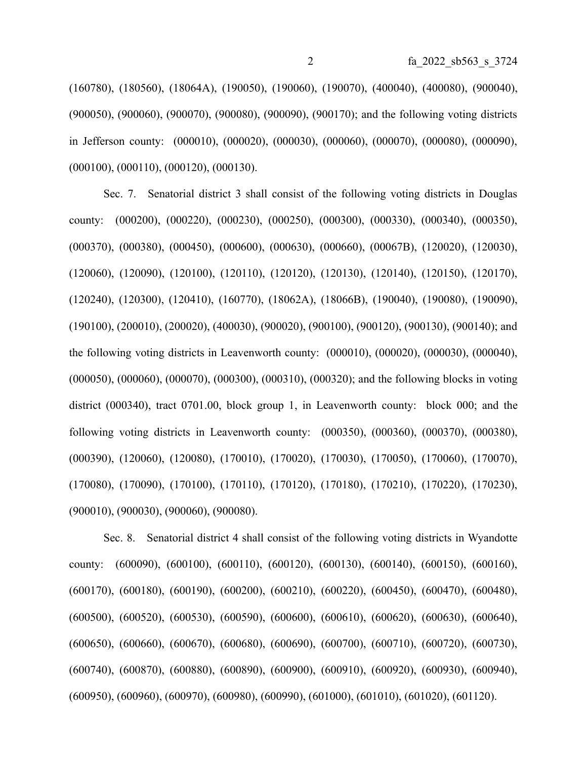(160780), (180560), (18064A), (190050), (190060), (190070), (400040), (400080), (900040), (900050), (900060), (900070), (900080), (900090), (900170); and the following voting districts in Jefferson county: (000010), (000020), (000030), (000060), (000070), (000080), (000090), (000100), (000110), (000120), (000130).

Sec. 7. Senatorial district 3 shall consist of the following voting districts in Douglas county: (000200), (000220), (000230), (000250), (000300), (000330), (000340), (000350), (000370), (000380), (000450), (000600), (000630), (000660), (00067B), (120020), (120030), (120060), (120090), (120100), (120110), (120120), (120130), (120140), (120150), (120170), (120240), (120300), (120410), (160770), (18062A), (18066B), (190040), (190080), (190090), (190100), (200010), (200020), (400030), (900020), (900100), (900120), (900130), (900140); and the following voting districts in Leavenworth county: (000010), (000020), (000030), (000040), (000050), (000060), (000070), (000300), (000310), (000320); and the following blocks in voting district (000340), tract 0701.00, block group 1, in Leavenworth county: block 000; and the following voting districts in Leavenworth county: (000350), (000360), (000370), (000380), (000390), (120060), (120080), (170010), (170020), (170030), (170050), (170060), (170070), (170080), (170090), (170100), (170110), (170120), (170180), (170210), (170220), (170230), (900010), (900030), (900060), (900080).

Sec. 8. Senatorial district 4 shall consist of the following voting districts in Wyandotte county: (600090), (600100), (600110), (600120), (600130), (600140), (600150), (600160), (600170), (600180), (600190), (600200), (600210), (600220), (600450), (600470), (600480), (600500), (600520), (600530), (600590), (600600), (600610), (600620), (600630), (600640), (600650), (600660), (600670), (600680), (600690), (600700), (600710), (600720), (600730), (600740), (600870), (600880), (600890), (600900), (600910), (600920), (600930), (600940), (600950), (600960), (600970), (600980), (600990), (601000), (601010), (601020), (601120).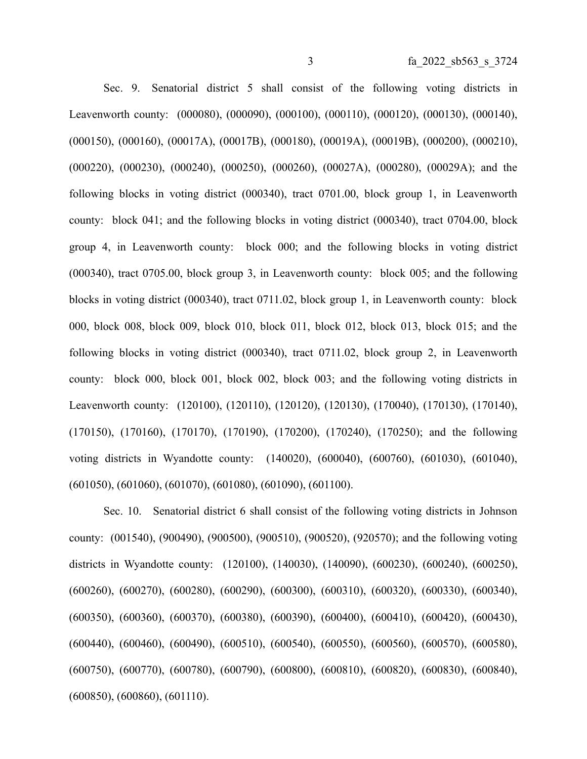Sec. 9. Senatorial district 5 shall consist of the following voting districts in Leavenworth county: (000080), (000090), (000100), (000110), (000120), (000130), (000140), (000150), (000160), (00017A), (00017B), (000180), (00019A), (00019B), (000200), (000210), (000220), (000230), (000240), (000250), (000260), (00027A), (000280), (00029A); and the following blocks in voting district (000340), tract 0701.00, block group 1, in Leavenworth county: block 041; and the following blocks in voting district (000340), tract 0704.00, block group 4, in Leavenworth county: block 000; and the following blocks in voting district (000340), tract 0705.00, block group 3, in Leavenworth county: block 005; and the following blocks in voting district (000340), tract 0711.02, block group 1, in Leavenworth county: block 000, block 008, block 009, block 010, block 011, block 012, block 013, block 015; and the following blocks in voting district (000340), tract 0711.02, block group 2, in Leavenworth county: block 000, block 001, block 002, block 003; and the following voting districts in Leavenworth county: (120100), (120110), (120120), (120130), (170040), (170130), (170140), (170150), (170160), (170170), (170190), (170200), (170240), (170250); and the following voting districts in Wyandotte county: (140020), (600040), (600760), (601030), (601040), (601050), (601060), (601070), (601080), (601090), (601100).

Sec. 10. Senatorial district 6 shall consist of the following voting districts in Johnson county: (001540), (900490), (900500), (900510), (900520), (920570); and the following voting districts in Wyandotte county: (120100), (140030), (140090), (600230), (600240), (600250), (600260), (600270), (600280), (600290), (600300), (600310), (600320), (600330), (600340), (600350), (600360), (600370), (600380), (600390), (600400), (600410), (600420), (600430), (600440), (600460), (600490), (600510), (600540), (600550), (600560), (600570), (600580), (600750), (600770), (600780), (600790), (600800), (600810), (600820), (600830), (600840), (600850), (600860), (601110).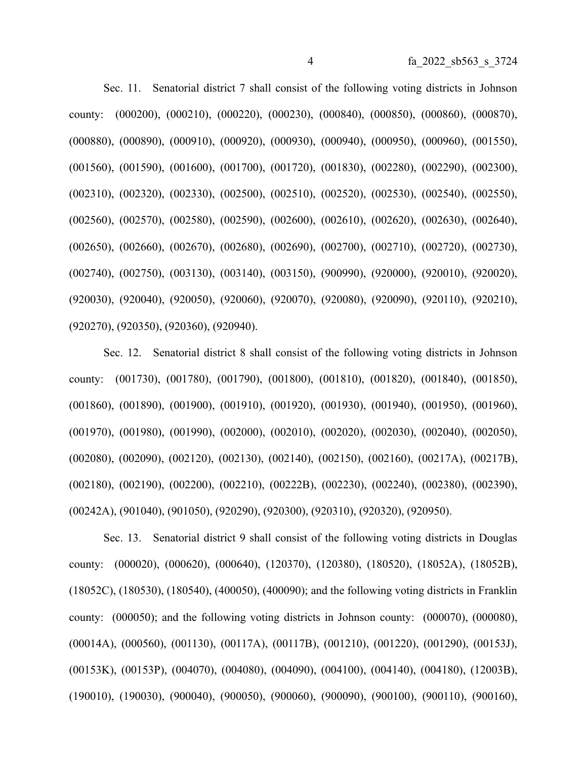Sec. 11. Senatorial district 7 shall consist of the following voting districts in Johnson county: (000200), (000210), (000220), (000230), (000840), (000850), (000860), (000870), (000880), (000890), (000910), (000920), (000930), (000940), (000950), (000960), (001550), (001560), (001590), (001600), (001700), (001720), (001830), (002280), (002290), (002300), (002310), (002320), (002330), (002500), (002510), (002520), (002530), (002540), (002550), (002560), (002570), (002580), (002590), (002600), (002610), (002620), (002630), (002640), (002650), (002660), (002670), (002680), (002690), (002700), (002710), (002720), (002730), (002740), (002750), (003130), (003140), (003150), (900990), (920000), (920010), (920020), (920030), (920040), (920050), (920060), (920070), (920080), (920090), (920110), (920210), (920270), (920350), (920360), (920940).

Sec. 12. Senatorial district 8 shall consist of the following voting districts in Johnson county: (001730), (001780), (001790), (001800), (001810), (001820), (001840), (001850), (001860), (001890), (001900), (001910), (001920), (001930), (001940), (001950), (001960), (001970), (001980), (001990), (002000), (002010), (002020), (002030), (002040), (002050), (002080), (002090), (002120), (002130), (002140), (002150), (002160), (00217A), (00217B), (002180), (002190), (002200), (002210), (00222B), (002230), (002240), (002380), (002390), (00242A), (901040), (901050), (920290), (920300), (920310), (920320), (920950).

Sec. 13. Senatorial district 9 shall consist of the following voting districts in Douglas county: (000020), (000620), (000640), (120370), (120380), (180520), (18052A), (18052B), (18052C), (180530), (180540), (400050), (400090); and the following voting districts in Franklin county: (000050); and the following voting districts in Johnson county: (000070), (000080), (00014A), (000560), (001130), (00117A), (00117B), (001210), (001220), (001290), (00153J), (00153K), (00153P), (004070), (004080), (004090), (004100), (004140), (004180), (12003B), (190010), (190030), (900040), (900050), (900060), (900090), (900100), (900110), (900160),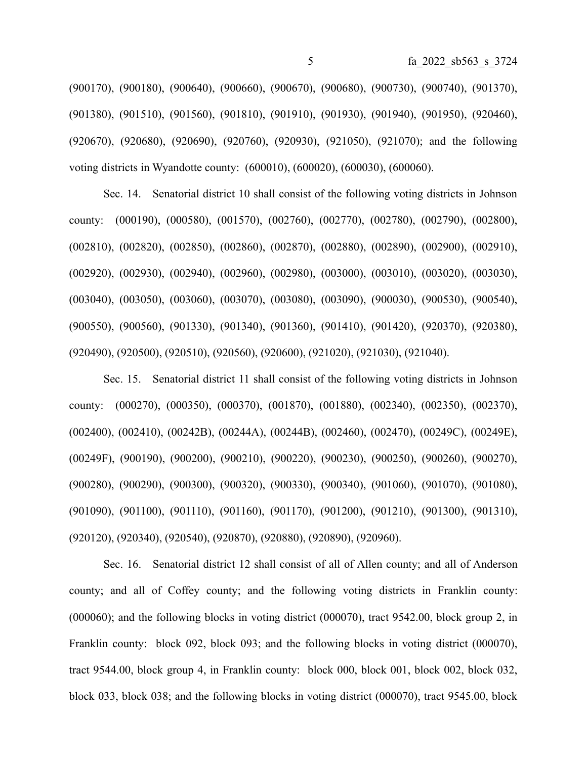(900170), (900180), (900640), (900660), (900670), (900680), (900730), (900740), (901370), (901380), (901510), (901560), (901810), (901910), (901930), (901940), (901950), (920460), (920670), (920680), (920690), (920760), (920930), (921050), (921070); and the following voting districts in Wyandotte county: (600010), (600020), (600030), (600060).

Sec. 14. Senatorial district 10 shall consist of the following voting districts in Johnson county: (000190), (000580), (001570), (002760), (002770), (002780), (002790), (002800), (002810), (002820), (002850), (002860), (002870), (002880), (002890), (002900), (002910), (002920), (002930), (002940), (002960), (002980), (003000), (003010), (003020), (003030), (003040), (003050), (003060), (003070), (003080), (003090), (900030), (900530), (900540), (900550), (900560), (901330), (901340), (901360), (901410), (901420), (920370), (920380), (920490), (920500), (920510), (920560), (920600), (921020), (921030), (921040).

Sec. 15. Senatorial district 11 shall consist of the following voting districts in Johnson county: (000270), (000350), (000370), (001870), (001880), (002340), (002350), (002370), (002400), (002410), (00242B), (00244A), (00244B), (002460), (002470), (00249C), (00249E), (00249F), (900190), (900200), (900210), (900220), (900230), (900250), (900260), (900270), (900280), (900290), (900300), (900320), (900330), (900340), (901060), (901070), (901080), (901090), (901100), (901110), (901160), (901170), (901200), (901210), (901300), (901310), (920120), (920340), (920540), (920870), (920880), (920890), (920960).

Sec. 16. Senatorial district 12 shall consist of all of Allen county; and all of Anderson county; and all of Coffey county; and the following voting districts in Franklin county: (000060); and the following blocks in voting district (000070), tract 9542.00, block group 2, in Franklin county: block 092, block 093; and the following blocks in voting district (000070), tract 9544.00, block group 4, in Franklin county: block 000, block 001, block 002, block 032, block 033, block 038; and the following blocks in voting district (000070), tract 9545.00, block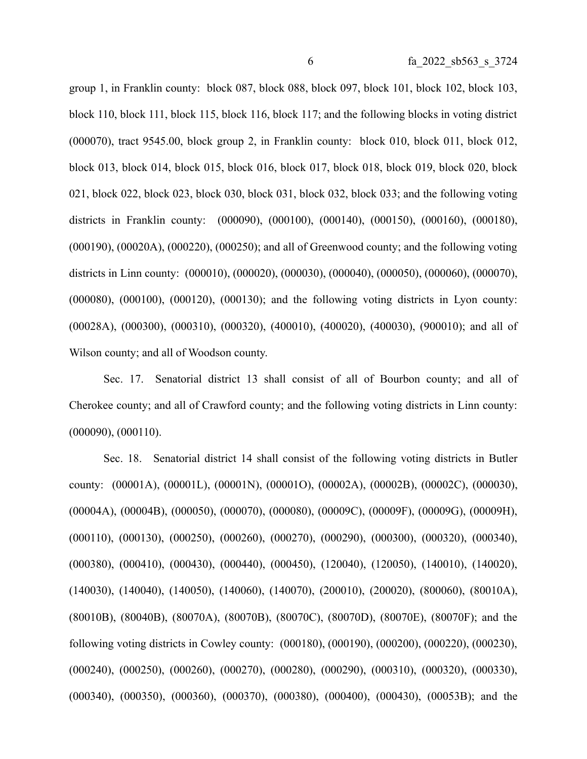group 1, in Franklin county: block 087, block 088, block 097, block 101, block 102, block 103, block 110, block 111, block 115, block 116, block 117; and the following blocks in voting district (000070), tract 9545.00, block group 2, in Franklin county: block 010, block 011, block 012, block 013, block 014, block 015, block 016, block 017, block 018, block 019, block 020, block 021, block 022, block 023, block 030, block 031, block 032, block 033; and the following voting districts in Franklin county: (000090), (000100), (000140), (000150), (000160), (000180), (000190), (00020A), (000220), (000250); and all of Greenwood county; and the following voting districts in Linn county: (000010), (000020), (000030), (000040), (000050), (000060), (000070), (000080), (000100), (000120), (000130); and the following voting districts in Lyon county: (00028A), (000300), (000310), (000320), (400010), (400020), (400030), (900010); and all of Wilson county; and all of Woodson county.

Sec. 17. Senatorial district 13 shall consist of all of Bourbon county; and all of Cherokee county; and all of Crawford county; and the following voting districts in Linn county: (000090), (000110).

Sec. 18. Senatorial district 14 shall consist of the following voting districts in Butler county: (00001A), (00001L), (00001N), (00001O), (00002A), (00002B), (00002C), (000030), (00004A), (00004B), (000050), (000070), (000080), (00009C), (00009F), (00009G), (00009H), (000110), (000130), (000250), (000260), (000270), (000290), (000300), (000320), (000340), (000380), (000410), (000430), (000440), (000450), (120040), (120050), (140010), (140020), (140030), (140040), (140050), (140060), (140070), (200010), (200020), (800060), (80010A), (80010B), (80040B), (80070A), (80070B), (80070C), (80070D), (80070E), (80070F); and the following voting districts in Cowley county: (000180), (000190), (000200), (000220), (000230), (000240), (000250), (000260), (000270), (000280), (000290), (000310), (000320), (000330), (000340), (000350), (000360), (000370), (000380), (000400), (000430), (00053B); and the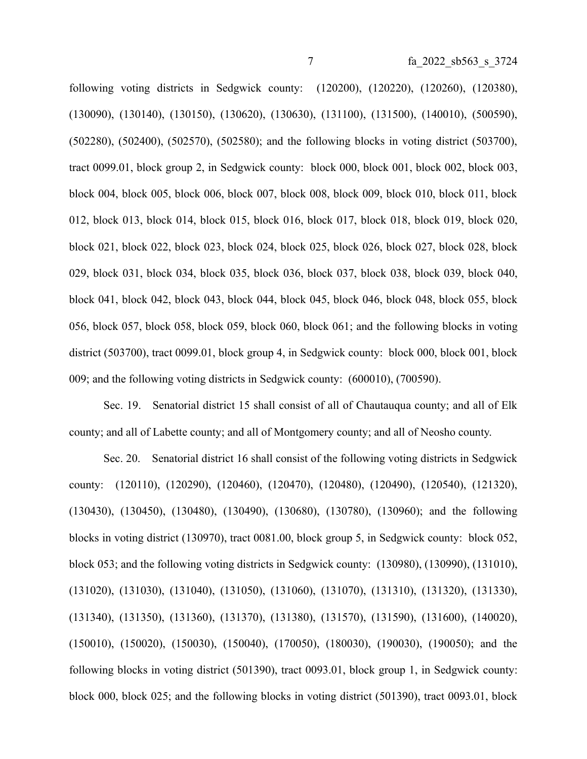following voting districts in Sedgwick county: (120200), (120220), (120260), (120380), (130090), (130140), (130150), (130620), (130630), (131100), (131500), (140010), (500590), (502280), (502400), (502570), (502580); and the following blocks in voting district (503700), tract 0099.01, block group 2, in Sedgwick county: block 000, block 001, block 002, block 003, block 004, block 005, block 006, block 007, block 008, block 009, block 010, block 011, block 012, block 013, block 014, block 015, block 016, block 017, block 018, block 019, block 020, block 021, block 022, block 023, block 024, block 025, block 026, block 027, block 028, block 029, block 031, block 034, block 035, block 036, block 037, block 038, block 039, block 040, block 041, block 042, block 043, block 044, block 045, block 046, block 048, block 055, block 056, block 057, block 058, block 059, block 060, block 061; and the following blocks in voting district (503700), tract 0099.01, block group 4, in Sedgwick county: block 000, block 001, block 009; and the following voting districts in Sedgwick county: (600010), (700590).

Sec. 19. Senatorial district 15 shall consist of all of Chautauqua county; and all of Elk county; and all of Labette county; and all of Montgomery county; and all of Neosho county.

Sec. 20. Senatorial district 16 shall consist of the following voting districts in Sedgwick county: (120110), (120290), (120460), (120470), (120480), (120490), (120540), (121320), (130430), (130450), (130480), (130490), (130680), (130780), (130960); and the following blocks in voting district (130970), tract 0081.00, block group 5, in Sedgwick county: block 052, block 053; and the following voting districts in Sedgwick county: (130980), (130990), (131010), (131020), (131030), (131040), (131050), (131060), (131070), (131310), (131320), (131330), (131340), (131350), (131360), (131370), (131380), (131570), (131590), (131600), (140020), (150010), (150020), (150030), (150040), (170050), (180030), (190030), (190050); and the following blocks in voting district (501390), tract 0093.01, block group 1, in Sedgwick county: block 000, block 025; and the following blocks in voting district (501390), tract 0093.01, block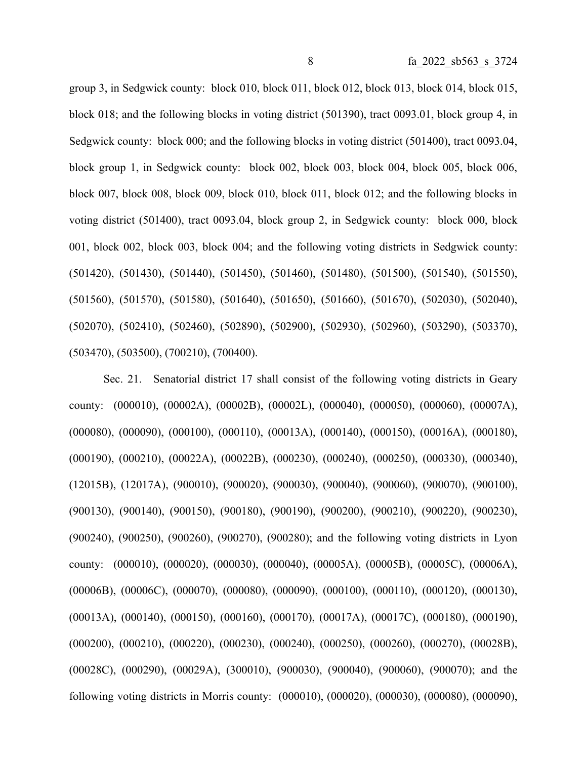group 3, in Sedgwick county: block 010, block 011, block 012, block 013, block 014, block 015, block 018; and the following blocks in voting district (501390), tract 0093.01, block group 4, in Sedgwick county: block 000; and the following blocks in voting district (501400), tract 0093.04, block group 1, in Sedgwick county: block 002, block 003, block 004, block 005, block 006, block 007, block 008, block 009, block 010, block 011, block 012; and the following blocks in voting district (501400), tract 0093.04, block group 2, in Sedgwick county: block 000, block 001, block 002, block 003, block 004; and the following voting districts in Sedgwick county: (501420), (501430), (501440), (501450), (501460), (501480), (501500), (501540), (501550), (501560), (501570), (501580), (501640), (501650), (501660), (501670), (502030), (502040), (502070), (502410), (502460), (502890), (502900), (502930), (502960), (503290), (503370), (503470), (503500), (700210), (700400).

Sec. 21. Senatorial district 17 shall consist of the following voting districts in Geary county: (000010), (00002A), (00002B), (00002L), (000040), (000050), (000060), (00007A), (000080), (000090), (000100), (000110), (00013A), (000140), (000150), (00016A), (000180), (000190), (000210), (00022A), (00022B), (000230), (000240), (000250), (000330), (000340), (12015B), (12017A), (900010), (900020), (900030), (900040), (900060), (900070), (900100), (900130), (900140), (900150), (900180), (900190), (900200), (900210), (900220), (900230), (900240), (900250), (900260), (900270), (900280); and the following voting districts in Lyon county: (000010), (000020), (000030), (000040), (00005A), (00005B), (00005C), (00006A), (00006B), (00006C), (000070), (000080), (000090), (000100), (000110), (000120), (000130), (00013A), (000140), (000150), (000160), (000170), (00017A), (00017C), (000180), (000190), (000200), (000210), (000220), (000230), (000240), (000250), (000260), (000270), (00028B), (00028C), (000290), (00029A), (300010), (900030), (900040), (900060), (900070); and the following voting districts in Morris county: (000010), (000020), (000030), (000080), (000090),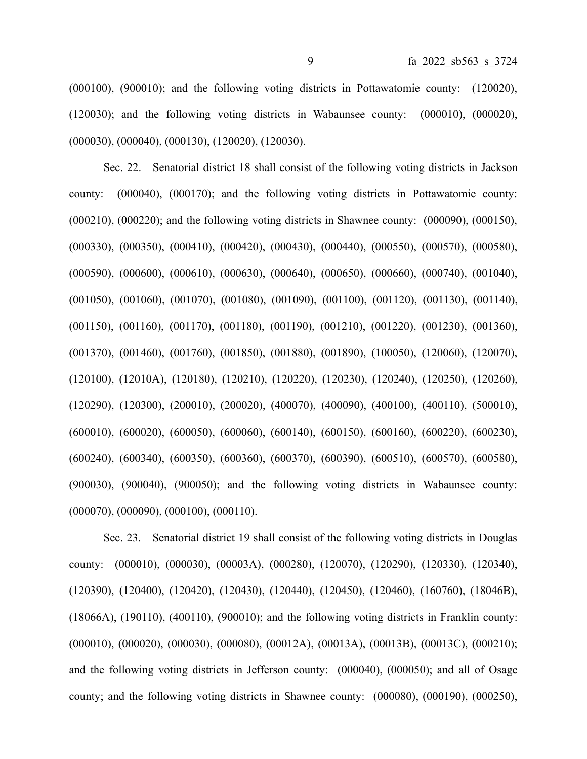(000100), (900010); and the following voting districts in Pottawatomie county: (120020), (120030); and the following voting districts in Wabaunsee county: (000010), (000020), (000030), (000040), (000130), (120020), (120030).

Sec. 22. Senatorial district 18 shall consist of the following voting districts in Jackson county: (000040), (000170); and the following voting districts in Pottawatomie county: (000210), (000220); and the following voting districts in Shawnee county: (000090), (000150), (000330), (000350), (000410), (000420), (000430), (000440), (000550), (000570), (000580), (000590), (000600), (000610), (000630), (000640), (000650), (000660), (000740), (001040), (001050), (001060), (001070), (001080), (001090), (001100), (001120), (001130), (001140), (001150), (001160), (001170), (001180), (001190), (001210), (001220), (001230), (001360), (001370), (001460), (001760), (001850), (001880), (001890), (100050), (120060), (120070), (120100), (12010A), (120180), (120210), (120220), (120230), (120240), (120250), (120260), (120290), (120300), (200010), (200020), (400070), (400090), (400100), (400110), (500010), (600010), (600020), (600050), (600060), (600140), (600150), (600160), (600220), (600230), (600240), (600340), (600350), (600360), (600370), (600390), (600510), (600570), (600580), (900030), (900040), (900050); and the following voting districts in Wabaunsee county: (000070), (000090), (000100), (000110).

Sec. 23. Senatorial district 19 shall consist of the following voting districts in Douglas county: (000010), (000030), (00003A), (000280), (120070), (120290), (120330), (120340), (120390), (120400), (120420), (120430), (120440), (120450), (120460), (160760), (18046B), (18066A), (190110), (400110), (900010); and the following voting districts in Franklin county: (000010), (000020), (000030), (000080), (00012A), (00013A), (00013B), (00013C), (000210); and the following voting districts in Jefferson county: (000040), (000050); and all of Osage county; and the following voting districts in Shawnee county: (000080), (000190), (000250),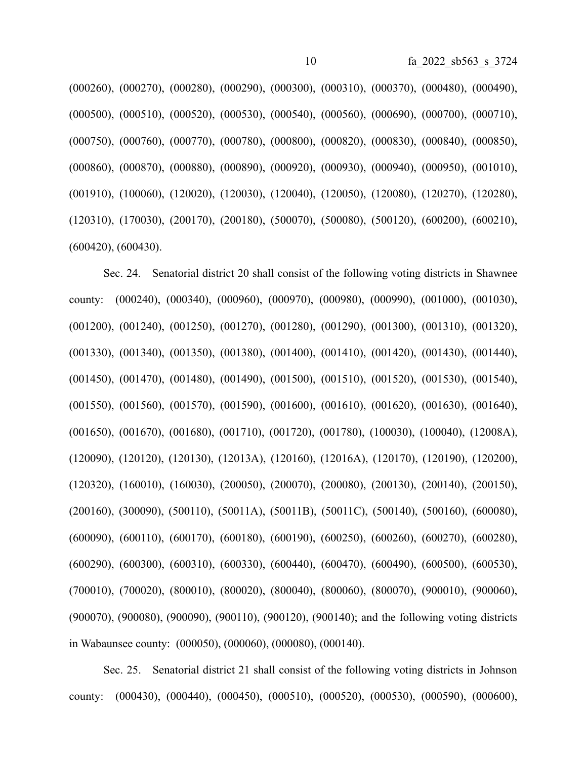(000260), (000270), (000280), (000290), (000300), (000310), (000370), (000480), (000490), (000500), (000510), (000520), (000530), (000540), (000560), (000690), (000700), (000710), (000750), (000760), (000770), (000780), (000800), (000820), (000830), (000840), (000850), (000860), (000870), (000880), (000890), (000920), (000930), (000940), (000950), (001010), (001910), (100060), (120020), (120030), (120040), (120050), (120080), (120270), (120280), (120310), (170030), (200170), (200180), (500070), (500080), (500120), (600200), (600210), (600420), (600430).

Sec. 24. Senatorial district 20 shall consist of the following voting districts in Shawnee county: (000240), (000340), (000960), (000970), (000980), (000990), (001000), (001030), (001200), (001240), (001250), (001270), (001280), (001290), (001300), (001310), (001320), (001330), (001340), (001350), (001380), (001400), (001410), (001420), (001430), (001440), (001450), (001470), (001480), (001490), (001500), (001510), (001520), (001530), (001540), (001550), (001560), (001570), (001590), (001600), (001610), (001620), (001630), (001640), (001650), (001670), (001680), (001710), (001720), (001780), (100030), (100040), (12008A), (120090), (120120), (120130), (12013A), (120160), (12016A), (120170), (120190), (120200), (120320), (160010), (160030), (200050), (200070), (200080), (200130), (200140), (200150), (200160), (300090), (500110), (50011A), (50011B), (50011C), (500140), (500160), (600080), (600090), (600110), (600170), (600180), (600190), (600250), (600260), (600270), (600280), (600290), (600300), (600310), (600330), (600440), (600470), (600490), (600500), (600530), (700010), (700020), (800010), (800020), (800040), (800060), (800070), (900010), (900060), (900070), (900080), (900090), (900110), (900120), (900140); and the following voting districts in Wabaunsee county: (000050), (000060), (000080), (000140).

Sec. 25. Senatorial district 21 shall consist of the following voting districts in Johnson county: (000430), (000440), (000450), (000510), (000520), (000530), (000590), (000600),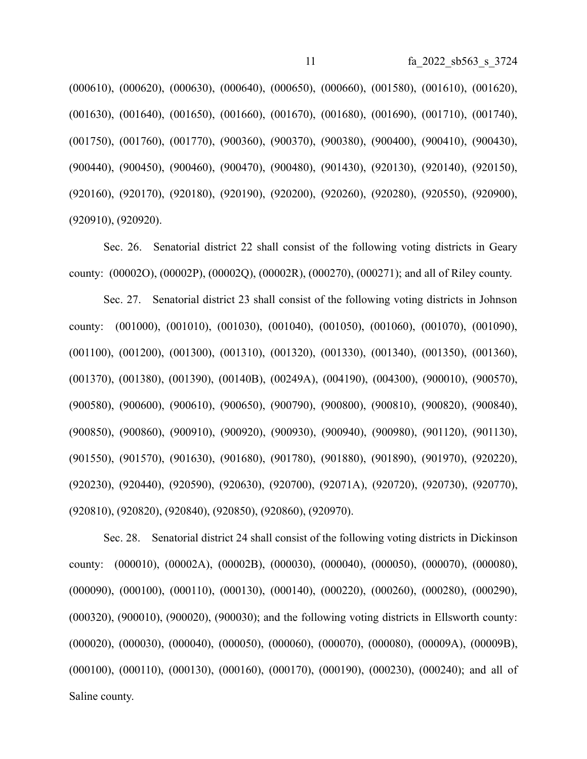(000610), (000620), (000630), (000640), (000650), (000660), (001580), (001610), (001620), (001630), (001640), (001650), (001660), (001670), (001680), (001690), (001710), (001740), (001750), (001760), (001770), (900360), (900370), (900380), (900400), (900410), (900430), (900440), (900450), (900460), (900470), (900480), (901430), (920130), (920140), (920150), (920160), (920170), (920180), (920190), (920200), (920260), (920280), (920550), (920900), (920910), (920920).

Sec. 26. Senatorial district 22 shall consist of the following voting districts in Geary county: (00002O), (00002P), (00002Q), (00002R), (000270), (000271); and all of Riley county.

Sec. 27. Senatorial district 23 shall consist of the following voting districts in Johnson county: (001000), (001010), (001030), (001040), (001050), (001060), (001070), (001090), (001100), (001200), (001300), (001310), (001320), (001330), (001340), (001350), (001360), (001370), (001380), (001390), (00140B), (00249A), (004190), (004300), (900010), (900570), (900580), (900600), (900610), (900650), (900790), (900800), (900810), (900820), (900840), (900850), (900860), (900910), (900920), (900930), (900940), (900980), (901120), (901130), (901550), (901570), (901630), (901680), (901780), (901880), (901890), (901970), (920220), (920230), (920440), (920590), (920630), (920700), (92071A), (920720), (920730), (920770), (920810), (920820), (920840), (920850), (920860), (920970).

Sec. 28. Senatorial district 24 shall consist of the following voting districts in Dickinson county: (000010), (00002A), (00002B), (000030), (000040), (000050), (000070), (000080), (000090), (000100), (000110), (000130), (000140), (000220), (000260), (000280), (000290), (000320), (900010), (900020), (900030); and the following voting districts in Ellsworth county: (000020), (000030), (000040), (000050), (000060), (000070), (000080), (00009A), (00009B), (000100), (000110), (000130), (000160), (000170), (000190), (000230), (000240); and all of Saline county.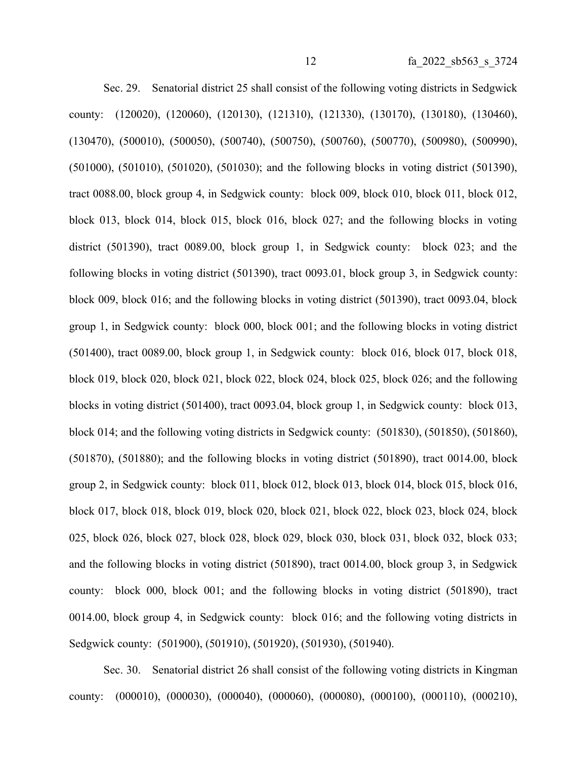Sec. 29. Senatorial district 25 shall consist of the following voting districts in Sedgwick county: (120020), (120060), (120130), (121310), (121330), (130170), (130180), (130460), (130470), (500010), (500050), (500740), (500750), (500760), (500770), (500980), (500990), (501000), (501010), (501020), (501030); and the following blocks in voting district (501390), tract 0088.00, block group 4, in Sedgwick county: block 009, block 010, block 011, block 012, block 013, block 014, block 015, block 016, block 027; and the following blocks in voting district (501390), tract 0089.00, block group 1, in Sedgwick county: block 023; and the following blocks in voting district (501390), tract 0093.01, block group 3, in Sedgwick county: block 009, block 016; and the following blocks in voting district (501390), tract 0093.04, block group 1, in Sedgwick county: block 000, block 001; and the following blocks in voting district (501400), tract 0089.00, block group 1, in Sedgwick county: block 016, block 017, block 018, block 019, block 020, block 021, block 022, block 024, block 025, block 026; and the following blocks in voting district (501400), tract 0093.04, block group 1, in Sedgwick county: block 013, block 014; and the following voting districts in Sedgwick county: (501830), (501850), (501860), (501870), (501880); and the following blocks in voting district (501890), tract 0014.00, block group 2, in Sedgwick county: block 011, block 012, block 013, block 014, block 015, block 016, block 017, block 018, block 019, block 020, block 021, block 022, block 023, block 024, block 025, block 026, block 027, block 028, block 029, block 030, block 031, block 032, block 033; and the following blocks in voting district (501890), tract 0014.00, block group 3, in Sedgwick county: block 000, block 001; and the following blocks in voting district (501890), tract 0014.00, block group 4, in Sedgwick county: block 016; and the following voting districts in Sedgwick county: (501900), (501910), (501920), (501930), (501940).

Sec. 30. Senatorial district 26 shall consist of the following voting districts in Kingman county: (000010), (000030), (000040), (000060), (000080), (000100), (000110), (000210),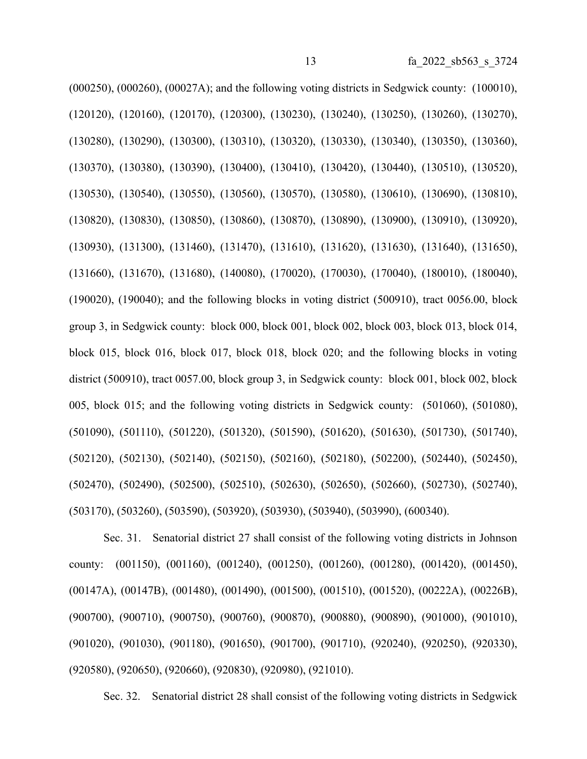(000250), (000260), (00027A); and the following voting districts in Sedgwick county: (100010), (120120), (120160), (120170), (120300), (130230), (130240), (130250), (130260), (130270), (130280), (130290), (130300), (130310), (130320), (130330), (130340), (130350), (130360), (130370), (130380), (130390), (130400), (130410), (130420), (130440), (130510), (130520), (130530), (130540), (130550), (130560), (130570), (130580), (130610), (130690), (130810), (130820), (130830), (130850), (130860), (130870), (130890), (130900), (130910), (130920), (130930), (131300), (131460), (131470), (131610), (131620), (131630), (131640), (131650), (131660), (131670), (131680), (140080), (170020), (170030), (170040), (180010), (180040), (190020), (190040); and the following blocks in voting district (500910), tract 0056.00, block group 3, in Sedgwick county: block 000, block 001, block 002, block 003, block 013, block 014, block 015, block 016, block 017, block 018, block 020; and the following blocks in voting district (500910), tract 0057.00, block group 3, in Sedgwick county: block 001, block 002, block 005, block 015; and the following voting districts in Sedgwick county: (501060), (501080), (501090), (501110), (501220), (501320), (501590), (501620), (501630), (501730), (501740), (502120), (502130), (502140), (502150), (502160), (502180), (502200), (502440), (502450), (502470), (502490), (502500), (502510), (502630), (502650), (502660), (502730), (502740), (503170), (503260), (503590), (503920), (503930), (503940), (503990), (600340).

Sec. 31. Senatorial district 27 shall consist of the following voting districts in Johnson county: (001150), (001160), (001240), (001250), (001260), (001280), (001420), (001450), (00147A), (00147B), (001480), (001490), (001500), (001510), (001520), (00222A), (00226B), (900700), (900710), (900750), (900760), (900870), (900880), (900890), (901000), (901010), (901020), (901030), (901180), (901650), (901700), (901710), (920240), (920250), (920330), (920580), (920650), (920660), (920830), (920980), (921010).

Sec. 32. Senatorial district 28 shall consist of the following voting districts in Sedgwick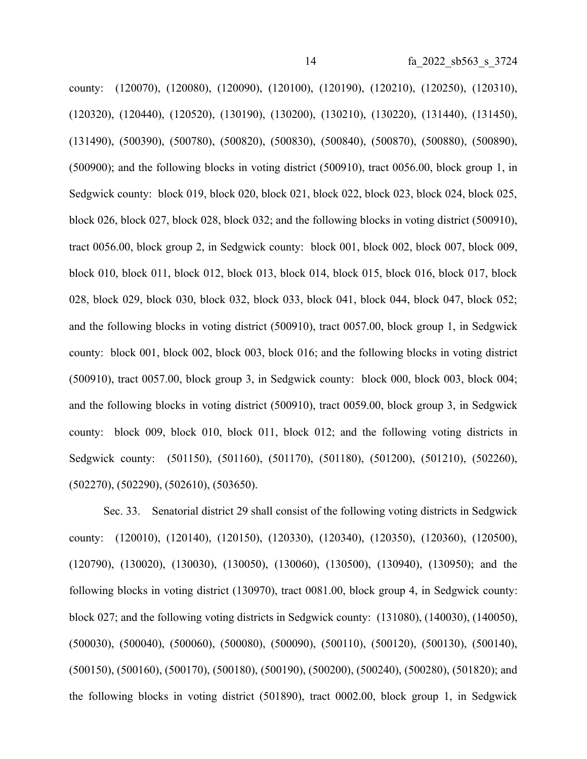county: (120070), (120080), (120090), (120100), (120190), (120210), (120250), (120310), (120320), (120440), (120520), (130190), (130200), (130210), (130220), (131440), (131450), (131490), (500390), (500780), (500820), (500830), (500840), (500870), (500880), (500890), (500900); and the following blocks in voting district (500910), tract 0056.00, block group 1, in Sedgwick county: block 019, block 020, block 021, block 022, block 023, block 024, block 025, block 026, block 027, block 028, block 032; and the following blocks in voting district (500910), tract 0056.00, block group 2, in Sedgwick county: block 001, block 002, block 007, block 009, block 010, block 011, block 012, block 013, block 014, block 015, block 016, block 017, block 028, block 029, block 030, block 032, block 033, block 041, block 044, block 047, block 052; and the following blocks in voting district (500910), tract 0057.00, block group 1, in Sedgwick county: block 001, block 002, block 003, block 016; and the following blocks in voting district (500910), tract 0057.00, block group 3, in Sedgwick county: block 000, block 003, block 004; and the following blocks in voting district (500910), tract 0059.00, block group 3, in Sedgwick county: block 009, block 010, block 011, block 012; and the following voting districts in Sedgwick county: (501150), (501160), (501170), (501180), (501200), (501210), (502260), (502270), (502290), (502610), (503650).

Sec. 33. Senatorial district 29 shall consist of the following voting districts in Sedgwick county: (120010), (120140), (120150), (120330), (120340), (120350), (120360), (120500), (120790), (130020), (130030), (130050), (130060), (130500), (130940), (130950); and the following blocks in voting district (130970), tract 0081.00, block group 4, in Sedgwick county: block 027; and the following voting districts in Sedgwick county: (131080), (140030), (140050), (500030), (500040), (500060), (500080), (500090), (500110), (500120), (500130), (500140), (500150), (500160), (500170), (500180), (500190), (500200), (500240), (500280), (501820); and the following blocks in voting district (501890), tract 0002.00, block group 1, in Sedgwick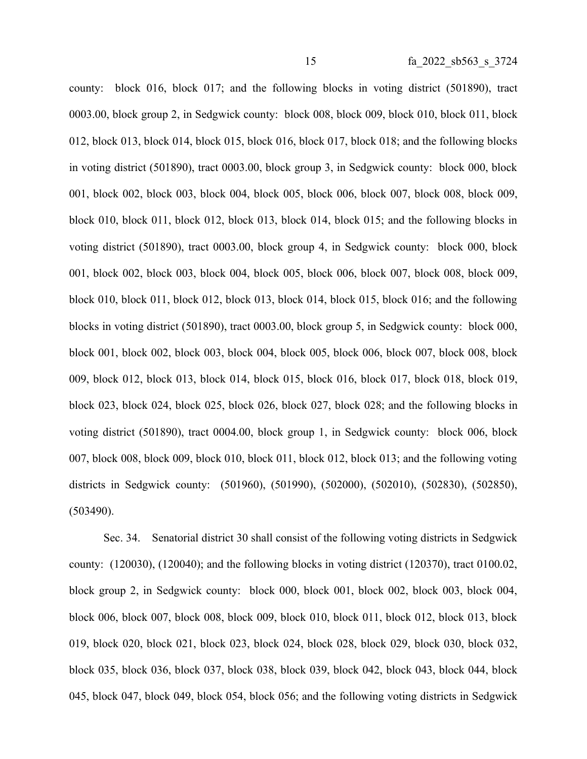county: block 016, block 017; and the following blocks in voting district (501890), tract 0003.00, block group 2, in Sedgwick county: block 008, block 009, block 010, block 011, block 012, block 013, block 014, block 015, block 016, block 017, block 018; and the following blocks in voting district (501890), tract 0003.00, block group 3, in Sedgwick county: block 000, block 001, block 002, block 003, block 004, block 005, block 006, block 007, block 008, block 009, block 010, block 011, block 012, block 013, block 014, block 015; and the following blocks in voting district (501890), tract 0003.00, block group 4, in Sedgwick county: block 000, block 001, block 002, block 003, block 004, block 005, block 006, block 007, block 008, block 009, block 010, block 011, block 012, block 013, block 014, block 015, block 016; and the following blocks in voting district (501890), tract 0003.00, block group 5, in Sedgwick county: block 000, block 001, block 002, block 003, block 004, block 005, block 006, block 007, block 008, block 009, block 012, block 013, block 014, block 015, block 016, block 017, block 018, block 019, block 023, block 024, block 025, block 026, block 027, block 028; and the following blocks in voting district (501890), tract 0004.00, block group 1, in Sedgwick county: block 006, block 007, block 008, block 009, block 010, block 011, block 012, block 013; and the following voting districts in Sedgwick county: (501960), (501990), (502000), (502010), (502830), (502850), (503490).

Sec. 34. Senatorial district 30 shall consist of the following voting districts in Sedgwick county: (120030), (120040); and the following blocks in voting district (120370), tract 0100.02, block group 2, in Sedgwick county: block 000, block 001, block 002, block 003, block 004, block 006, block 007, block 008, block 009, block 010, block 011, block 012, block 013, block 019, block 020, block 021, block 023, block 024, block 028, block 029, block 030, block 032, block 035, block 036, block 037, block 038, block 039, block 042, block 043, block 044, block 045, block 047, block 049, block 054, block 056; and the following voting districts in Sedgwick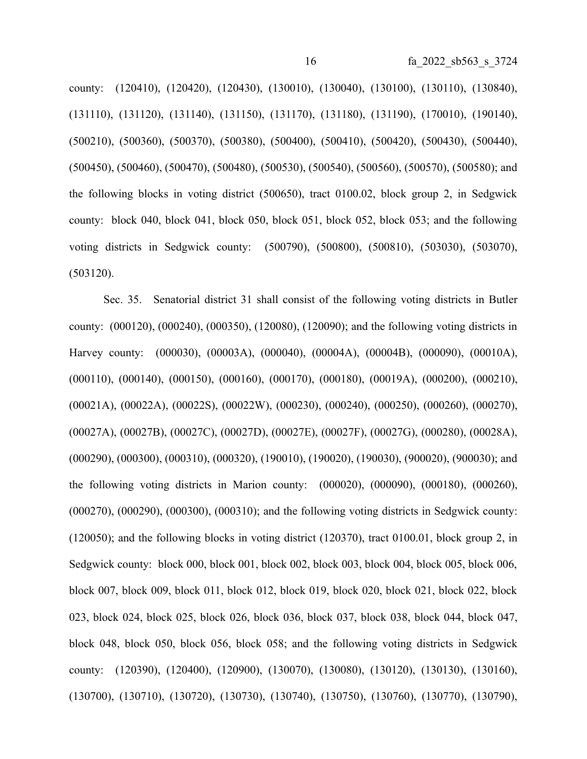county: (120410), (120420), (120430), (130010), (130040), (130100), (130110), (130840), (131110), (131120), (131140), (131150), (131170), (131180), (131190), (170010), (190140), (500210), (500360), (500370), (500380), (500400), (500410), (500420), (500430), (500440), (500450), (500460), (500470), (500480), (500530), (500540), (500560), (500570), (500580); and the following blocks in voting district (500650), tract 0100.02, block group 2, in Sedgwick county: block 040, block 041, block 050, block 051, block 052, block 053; and the following voting districts in Sedgwick county: (500790), (500800), (500810), (503030), (503070), (503120).

Sec. 35. Senatorial district 31 shall consist of the following voting districts in Butler county: (000120), (000240), (000350), (120080), (120090); and the following voting districts in Harvey county: (000030), (00003A), (000040), (00004A), (00004B), (000090), (00010A), (000110), (000140), (000150), (000160), (000170), (000180), (00019A), (000200), (000210), (00021A), (00022A), (00022S), (00022W), (000230), (000240), (000250), (000260), (000270), (00027A), (00027B), (00027C), (00027D), (00027E), (00027F), (00027G), (000280), (00028A), (000290), (000300), (000310), (000320), (190010), (190020), (190030), (900020), (900030); and the following voting districts in Marion county: (000020), (000090), (000180), (000260), (000270), (000290), (000300), (000310); and the following voting districts in Sedgwick county: (120050); and the following blocks in voting district (120370), tract 0100.01, block group 2, in Sedgwick county: block 000, block 001, block 002, block 003, block 004, block 005, block 006, block 007, block 009, block 011, block 012, block 019, block 020, block 021, block 022, block 023, block 024, block 025, block 026, block 036, block 037, block 038, block 044, block 047, block 048, block 050, block 056, block 058; and the following voting districts in Sedgwick county: (120390), (120400), (120900), (130070), (130080), (130120), (130130), (130160), (130700), (130710), (130720), (130730), (130740), (130750), (130760), (130770), (130790),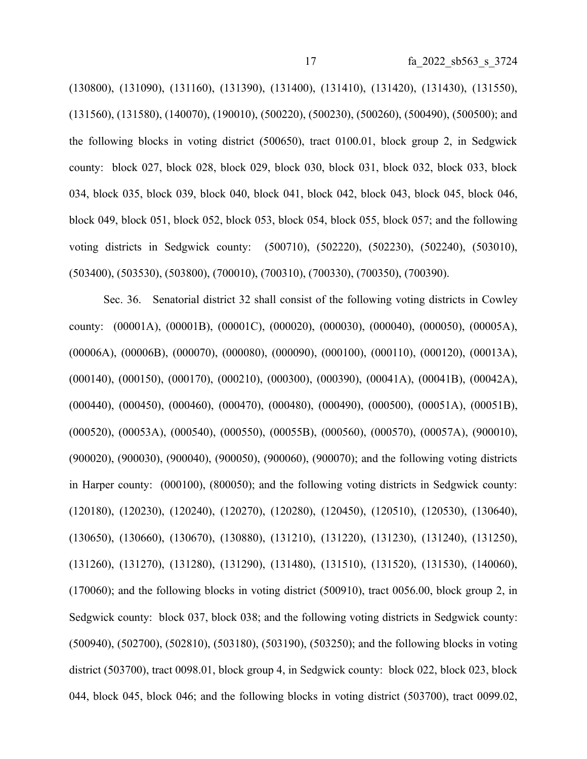(130800), (131090), (131160), (131390), (131400), (131410), (131420), (131430), (131550), (131560), (131580), (140070), (190010), (500220), (500230), (500260), (500490), (500500); and the following blocks in voting district (500650), tract 0100.01, block group 2, in Sedgwick county: block 027, block 028, block 029, block 030, block 031, block 032, block 033, block 034, block 035, block 039, block 040, block 041, block 042, block 043, block 045, block 046, block 049, block 051, block 052, block 053, block 054, block 055, block 057; and the following voting districts in Sedgwick county: (500710), (502220), (502230), (502240), (503010), (503400), (503530), (503800), (700010), (700310), (700330), (700350), (700390).

Sec. 36. Senatorial district 32 shall consist of the following voting districts in Cowley county: (00001A), (00001B), (00001C), (000020), (000030), (000040), (000050), (00005A), (00006A), (00006B), (000070), (000080), (000090), (000100), (000110), (000120), (00013A), (000140), (000150), (000170), (000210), (000300), (000390), (00041A), (00041B), (00042A), (000440), (000450), (000460), (000470), (000480), (000490), (000500), (00051A), (00051B), (000520), (00053A), (000540), (000550), (00055B), (000560), (000570), (00057A), (900010), (900020), (900030), (900040), (900050), (900060), (900070); and the following voting districts in Harper county: (000100), (800050); and the following voting districts in Sedgwick county: (120180), (120230), (120240), (120270), (120280), (120450), (120510), (120530), (130640), (130650), (130660), (130670), (130880), (131210), (131220), (131230), (131240), (131250), (131260), (131270), (131280), (131290), (131480), (131510), (131520), (131530), (140060), (170060); and the following blocks in voting district (500910), tract 0056.00, block group 2, in Sedgwick county: block 037, block 038; and the following voting districts in Sedgwick county: (500940), (502700), (502810), (503180), (503190), (503250); and the following blocks in voting district (503700), tract 0098.01, block group 4, in Sedgwick county: block 022, block 023, block 044, block 045, block 046; and the following blocks in voting district (503700), tract 0099.02,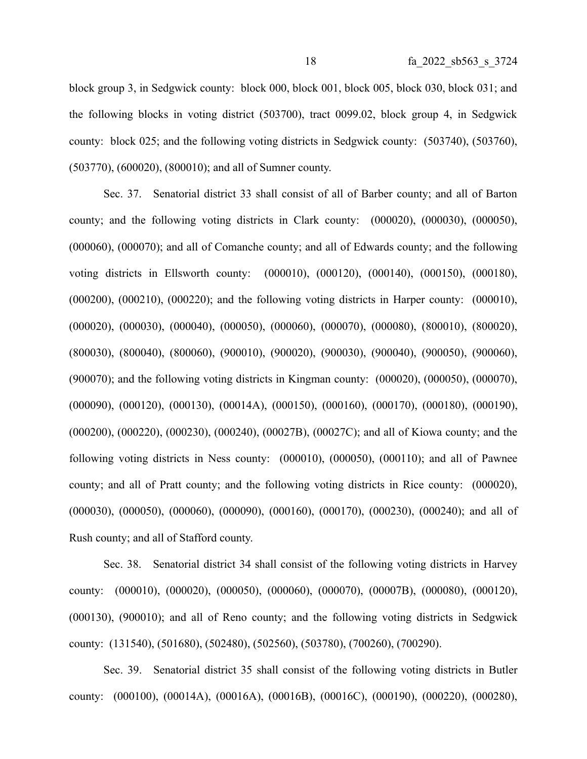block group 3, in Sedgwick county: block 000, block 001, block 005, block 030, block 031; and the following blocks in voting district (503700), tract 0099.02, block group 4, in Sedgwick county: block 025; and the following voting districts in Sedgwick county: (503740), (503760), (503770), (600020), (800010); and all of Sumner county.

Sec. 37. Senatorial district 33 shall consist of all of Barber county; and all of Barton county; and the following voting districts in Clark county: (000020), (000030), (000050), (000060), (000070); and all of Comanche county; and all of Edwards county; and the following voting districts in Ellsworth county: (000010), (000120), (000140), (000150), (000180), (000200), (000210), (000220); and the following voting districts in Harper county: (000010), (000020), (000030), (000040), (000050), (000060), (000070), (000080), (800010), (800020), (800030), (800040), (800060), (900010), (900020), (900030), (900040), (900050), (900060), (900070); and the following voting districts in Kingman county: (000020), (000050), (000070), (000090), (000120), (000130), (00014A), (000150), (000160), (000170), (000180), (000190), (000200), (000220), (000230), (000240), (00027B), (00027C); and all of Kiowa county; and the following voting districts in Ness county: (000010), (000050), (000110); and all of Pawnee county; and all of Pratt county; and the following voting districts in Rice county: (000020), (000030), (000050), (000060), (000090), (000160), (000170), (000230), (000240); and all of Rush county; and all of Stafford county.

Sec. 38. Senatorial district 34 shall consist of the following voting districts in Harvey county: (000010), (000020), (000050), (000060), (000070), (00007B), (000080), (000120), (000130), (900010); and all of Reno county; and the following voting districts in Sedgwick county: (131540), (501680), (502480), (502560), (503780), (700260), (700290).

Sec. 39. Senatorial district 35 shall consist of the following voting districts in Butler county: (000100), (00014A), (00016A), (00016B), (00016C), (000190), (000220), (000280),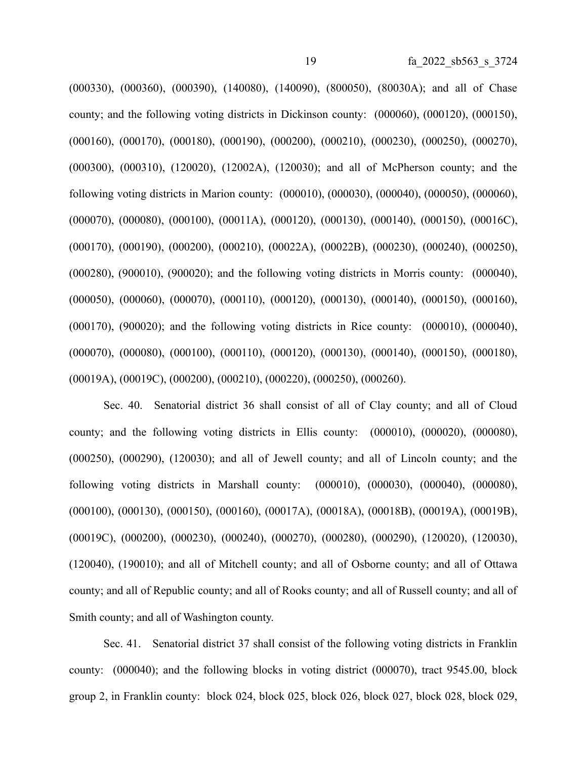(000330), (000360), (000390), (140080), (140090), (800050), (80030A); and all of Chase county; and the following voting districts in Dickinson county: (000060), (000120), (000150), (000160), (000170), (000180), (000190), (000200), (000210), (000230), (000250), (000270), (000300), (000310), (120020), (12002A), (120030); and all of McPherson county; and the following voting districts in Marion county: (000010), (000030), (000040), (000050), (000060), (000070), (000080), (000100), (00011A), (000120), (000130), (000140), (000150), (00016C), (000170), (000190), (000200), (000210), (00022A), (00022B), (000230), (000240), (000250), (000280), (900010), (900020); and the following voting districts in Morris county: (000040), (000050), (000060), (000070), (000110), (000120), (000130), (000140), (000150), (000160), (000170), (900020); and the following voting districts in Rice county: (000010), (000040), (000070), (000080), (000100), (000110), (000120), (000130), (000140), (000150), (000180), (00019A), (00019C), (000200), (000210), (000220), (000250), (000260).

Sec. 40. Senatorial district 36 shall consist of all of Clay county; and all of Cloud county; and the following voting districts in Ellis county: (000010), (000020), (000080), (000250), (000290), (120030); and all of Jewell county; and all of Lincoln county; and the following voting districts in Marshall county: (000010), (000030), (000040), (000080), (000100), (000130), (000150), (000160), (00017A), (00018A), (00018B), (00019A), (00019B), (00019C), (000200), (000230), (000240), (000270), (000280), (000290), (120020), (120030), (120040), (190010); and all of Mitchell county; and all of Osborne county; and all of Ottawa county; and all of Republic county; and all of Rooks county; and all of Russell county; and all of Smith county; and all of Washington county.

Sec. 41. Senatorial district 37 shall consist of the following voting districts in Franklin county: (000040); and the following blocks in voting district (000070), tract 9545.00, block group 2, in Franklin county: block 024, block 025, block 026, block 027, block 028, block 029,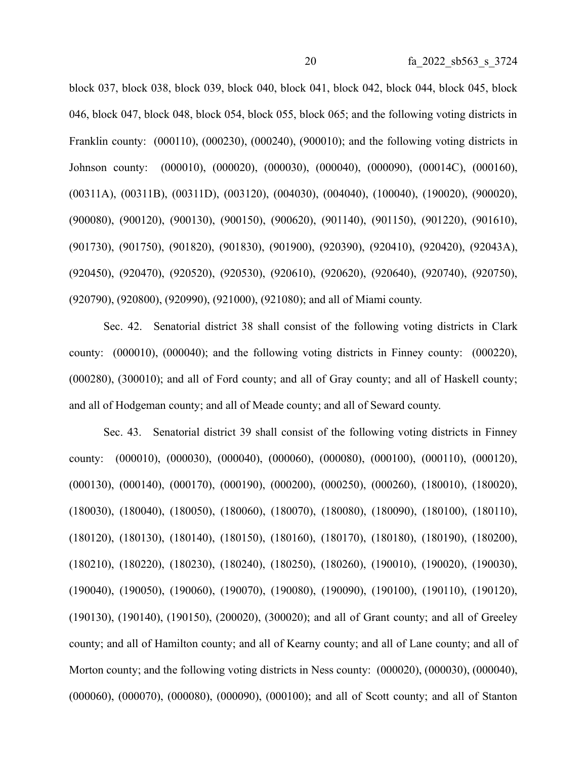block 037, block 038, block 039, block 040, block 041, block 042, block 044, block 045, block 046, block 047, block 048, block 054, block 055, block 065; and the following voting districts in Franklin county: (000110), (000230), (000240), (900010); and the following voting districts in Johnson county: (000010), (000020), (000030), (000040), (000090), (00014C), (000160), (00311A), (00311B), (00311D), (003120), (004030), (004040), (100040), (190020), (900020), (900080), (900120), (900130), (900150), (900620), (901140), (901150), (901220), (901610), (901730), (901750), (901820), (901830), (901900), (920390), (920410), (920420), (92043A), (920450), (920470), (920520), (920530), (920610), (920620), (920640), (920740), (920750), (920790), (920800), (920990), (921000), (921080); and all of Miami county.

Sec. 42. Senatorial district 38 shall consist of the following voting districts in Clark county: (000010), (000040); and the following voting districts in Finney county: (000220), (000280), (300010); and all of Ford county; and all of Gray county; and all of Haskell county; and all of Hodgeman county; and all of Meade county; and all of Seward county.

Sec. 43. Senatorial district 39 shall consist of the following voting districts in Finney county: (000010), (000030), (000040), (000060), (000080), (000100), (000110), (000120), (000130), (000140), (000170), (000190), (000200), (000250), (000260), (180010), (180020), (180030), (180040), (180050), (180060), (180070), (180080), (180090), (180100), (180110), (180120), (180130), (180140), (180150), (180160), (180170), (180180), (180190), (180200), (180210), (180220), (180230), (180240), (180250), (180260), (190010), (190020), (190030), (190040), (190050), (190060), (190070), (190080), (190090), (190100), (190110), (190120), (190130), (190140), (190150), (200020), (300020); and all of Grant county; and all of Greeley county; and all of Hamilton county; and all of Kearny county; and all of Lane county; and all of Morton county; and the following voting districts in Ness county:  $(000020)$ ,  $(000030)$ ,  $(000040)$ , (000060), (000070), (000080), (000090), (000100); and all of Scott county; and all of Stanton